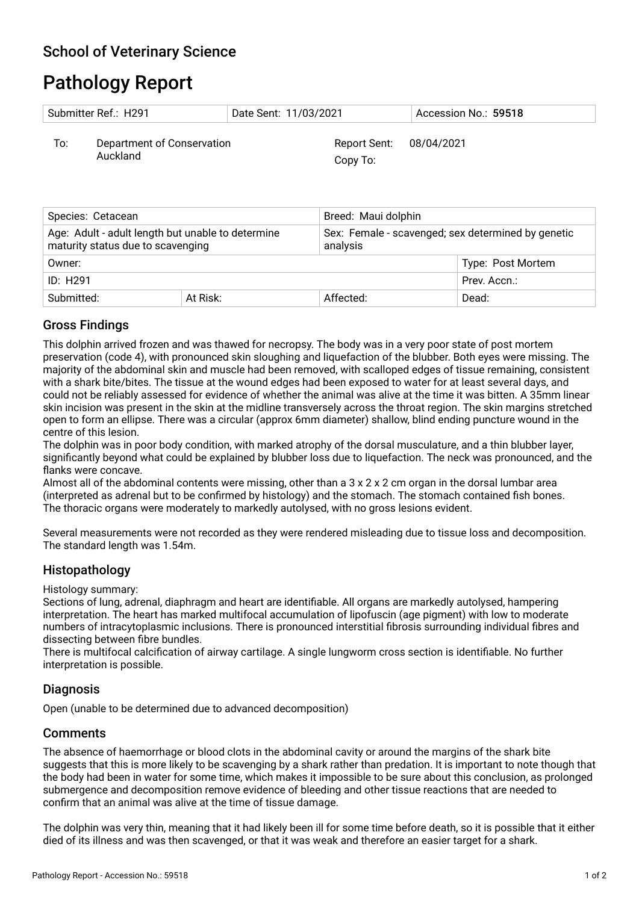# Pathology Report

| Submitter Ref.: H291 |                                        | Date Sent: 11/03/2021               | Accession No.: 59518 |
|----------------------|----------------------------------------|-------------------------------------|----------------------|
| To:                  | Department of Conservation<br>Auckland | Report Sent: 08/04/2021<br>Copy To: |                      |

| Species: Cetacean                                                                      |              | Breed: Maui dolphin                                            |                   |
|----------------------------------------------------------------------------------------|--------------|----------------------------------------------------------------|-------------------|
| Age: Adult - adult length but unable to determine<br>maturity status due to scavenging |              | Sex: Female - scavenged; sex determined by genetic<br>analysis |                   |
| Owner:                                                                                 |              |                                                                | Type: Post Mortem |
| ID: H291                                                                               | Prev. Accn.: |                                                                |                   |
| Submitted:                                                                             | At Risk:     | Affected:                                                      | Dead:             |

# Gross Findings

This dolphin arrived frozen and was thawed for necropsy. The body was in a very poor state of post mortem preservation (code 4), with pronounced skin sloughing and liquefaction of the blubber. Both eyes were missing. The majority of the abdominal skin and muscle had been removed, with scalloped edges of tissue remaining, consistent with a shark bite/bites. The tissue at the wound edges had been exposed to water for at least several days, and could not be reliably assessed for evidence of whether the animal was alive at the time it was bitten. A 35mm linear skin incision was present in the skin at the midline transversely across the throat region. The skin margins stretched open to form an ellipse. There was a circular (approx 6mm diameter) shallow, blind ending puncture wound in the centre of this lesion.

The dolphin was in poor body condition, with marked atrophy of the dorsal musculature, and a thin blubber layer, signifcantly beyond what could be explained by blubber loss due to liquefaction. The neck was pronounced, and the fanks were concave.

Almost all of the abdominal contents were missing, other than a 3 x 2 x 2 cm organ in the dorsal lumbar area (interpreted as adrenal but to be confrmed by histology) and the stomach. The stomach contained fsh bones. The thoracic organs were moderately to markedly autolysed, with no gross lesions evident.

Several measurements were not recorded as they were rendered misleading due to tissue loss and decomposition. The standard length was 1.54m.

# Histopathology

Histology summary:

Sections of lung, adrenal, diaphragm and heart are identifable. All organs are markedly autolysed, hampering interpretation. The heart has marked multifocal accumulation of lipofuscin (age pigment) with low to moderate numbers of intracytoplasmic inclusions. There is pronounced interstitial fbrosis surrounding individual fbres and dissecting between fibre bundles.

There is multifocal calcifcation of airway cartilage. A single lungworm cross section is identifable. No further interpretation is possible.

### **Diagnosis**

Open (unable to be determined due to advanced decomposition)

### **Comments**

The absence of haemorrhage or blood clots in the abdominal cavity or around the margins of the shark bite suggests that this is more likely to be scavenging by a shark rather than predation. It is important to note though that the body had been in water for some time, which makes it impossible to be sure about this conclusion, as prolonged submergence and decomposition remove evidence of bleeding and other tissue reactions that are needed to confrm that an animal was alive at the time of tissue damage.

The dolphin was very thin, meaning that it had likely been ill for some time before death, so it is possible that it either died of its illness and was then scavenged, or that it was weak and therefore an easier target for a shark.